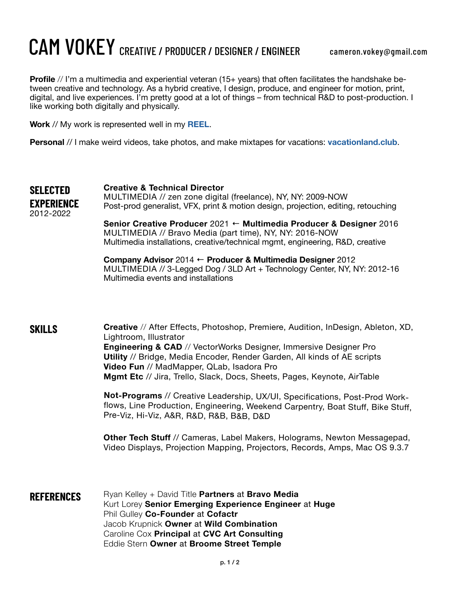## CAM VOKEY CREATIVE / PRODUCER / DESIGNER / ENGINEER

**Profile** // I'm a multimedia and experiential veteran (15+ years) that often facilitates the handshake between creative and technology. As a hybrid creative, I design, produce, and engineer for motion, print, digital, and live experiences. I'm pretty good at a lot of things – from technical R&D to post-production. I like working both digitally and physically.

**Work** // My work is represented well in my **[REEL](https://vimeo.com/674535569/1488284c4a)**.

**Personal** // I make weird videos, take photos, and make mixtapes for vacations: **[vacationland.club](http://vacationland.club)**.

**Creative & Technical Director** MULTIMEDIA // zen zone digital (freelance), NY, NY: 2009-NOW Post-prod generalist, VFX, print & motion design, projection, editing, retouching **Senior Creative Producer** 2021 ← **Multimedia Producer & Designer** 2016 **SELECTED EXPERIENCE** 2012-2022

MULTIMEDIA // Bravo Media (part time), NY, NY: 2016-NOW

Multimedia installations, creative/technical mgmt, engineering, R&D, creative **Company Advisor** 2014 ← **Producer & Multimedia Designer** 2012

MULTIMEDIA // 3-Legged Dog / 3LD Art + Technology Center, NY, NY: 2012-16 Multimedia events and installations

**SKILLS**

**Creative** // After Effects, Photoshop, Premiere, Audition, InDesign, Ableton, XD, Lightroom, Illustrator **Engineering & CAD** // VectorWorks Designer, Immersive Designer Pro **Utility** // Bridge, Media Encoder, Render Garden, All kinds of AE scripts **Video Fun** // MadMapper, QLab, Isadora Pro **Mgmt Etc** // Jira, Trello, Slack, Docs, Sheets, Pages, Keynote, AirTable

**Not-Programs** // Creative Leadership, UX/UI, Specifications, Post-Prod Workflows, Line Production, Engineering, Weekend Carpentry, Boat Stuff, Bike Stuff, Pre-Viz, Hi-Viz, A&R, R&D, R&B, B&B, D&D

**Other Tech Stuff** // Cameras, Label Makers, Holograms, Newton Messagepad, Video Displays, Projection Mapping, Projectors, Records, Amps, Mac OS 9.3.7

**REFERENCES** Ryan Kelley + David Title **Partners at Bravo Media** Kurt Lorey **Senior Emerging Experience Engineer** at **Huge** Phil Gulley **Co-Founder** at **Cofactr** Jacob Krupnick **Owner** at **Wild Combination**  Caroline Cox **Principal** at **CVC Art Consulting** Eddie Stern **Owner** at **Broome Street Temple**